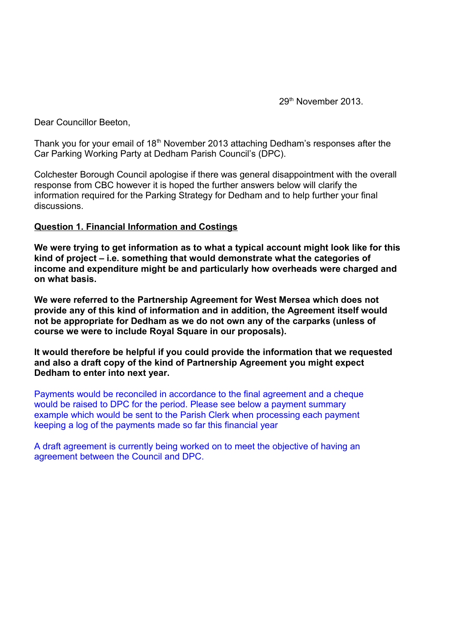29th November 2013.

Dear Councillor Beeton,

Thank you for your email of  $18<sup>th</sup>$  November 2013 attaching Dedham's responses after the Car Parking Working Party at Dedham Parish Council's (DPC).

Colchester Borough Council apologise if there was general disappointment with the overall response from CBC however it is hoped the further answers below will clarify the information required for the Parking Strategy for Dedham and to help further your final discussions.

## **Question 1. Financial Information and Costings**

**We were trying to get information as to what a typical account might look like for this kind of project – i.e. something that would demonstrate what the categories of income and expenditure might be and particularly how overheads were charged and on what basis.**

**We were referred to the Partnership Agreement for West Mersea which does not provide any of this kind of information and in addition, the Agreement itself would not be appropriate for Dedham as we do not own any of the carparks (unless of course we were to include Royal Square in our proposals).** 

**It would therefore be helpful if you could provide the information that we requested and also a draft copy of the kind of Partnership Agreement you might expect Dedham to enter into next year.**

Payments would be reconciled in accordance to the final agreement and a cheque would be raised to DPC for the period. Please see below a payment summary example which would be sent to the Parish Clerk when processing each payment keeping a log of the payments made so far this financial year

A draft agreement is currently being worked on to meet the objective of having an agreement between the Council and DPC.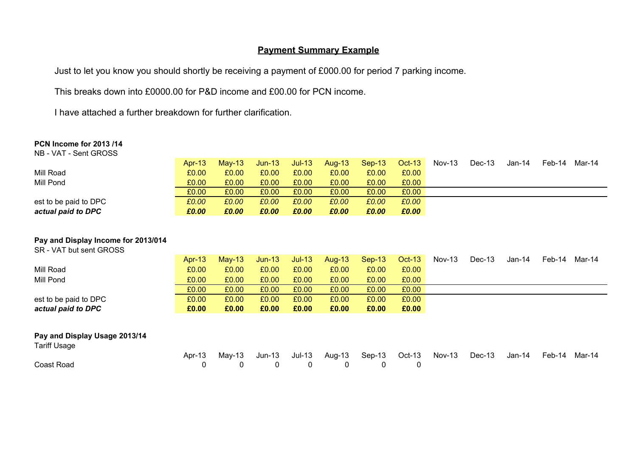## **Payment Summary Example**

Just to let you know you should shortly be receiving a payment of £000.00 for period 7 parking income.

This breaks down into £0000.00 for P&D income and £00.00 for PCN income.

I have attached a further breakdown for further clarification.

#### **PCN Income for 2013 /14**

NB - VAT - Sent GROSS

|                       | Apr- $13$ | $Mav-13$ | $Jun-13$ | $Jul-13$ | Aug-13 | $Sep-13$ | $Oct-13$ | $Nov-13$ | Dec-13 | Jan-14 | Feb-14 | Mar-14 |
|-----------------------|-----------|----------|----------|----------|--------|----------|----------|----------|--------|--------|--------|--------|
| Mill Road             | £0.00     | £0.00    | £0.00    | £0.00    | £0.00  | £0.00    | £0.00    |          |        |        |        |        |
| Mill Pond             | £0.00     | £0.00    | £0.00    | £0.00    | £0.00  | £0.00    | £0.00    |          |        |        |        |        |
|                       | £0.00     | £0.00    | £0.00    | £0.00    | £0.00  | £0.00    | £0.00    |          |        |        |        |        |
| est to be paid to DPC | £0.00     | £0.00    | £0.00    | £0.00    | £0.00  | £0.00    | £0.00    |          |        |        |        |        |
| actual paid to DPC    | £0.00     | £0.00    | £0.00    | £0.00    | £0.00  | £0.00    | £0.00    |          |        |        |        |        |

#### **Pay and Display Income for 2013/014**

SR - VAT but sent GROSS

|                               | Apr-13 | Mav-13 | $Jun-13$ | $Jul-13$ | Aug-13 | $Sep-13$ | <b>Oct-13</b> | Nov-13 | Dec-13 | Jan-14 | Feb-14 | Mar-14 |
|-------------------------------|--------|--------|----------|----------|--------|----------|---------------|--------|--------|--------|--------|--------|
| Mill Road                     | £0.00  | £0.00  | £0.00    | £0.00    | £0.00  | £0.00    | £0.00         |        |        |        |        |        |
| Mill Pond                     | £0.00  | £0.00  | £0.00    | £0.00    | £0.00  | £0.00    | £0.00         |        |        |        |        |        |
|                               | £0.00  | £0.00  | £0.00    | £0.00    | £0.00  | £0.00    | £0.00         |        |        |        |        |        |
| est to be paid to DPC         | £0.00  | £0.00  | £0.00    | £0.00    | £0.00  | £0.00    | £0.00         |        |        |        |        |        |
| actual paid to DPC            | £0.00  | £0.00  | £0.00    | £0.00    | £0.00  | £0.00    | £0.00         |        |        |        |        |        |
|                               |        |        |          |          |        |          |               |        |        |        |        |        |
| Pay and Display Usage 2013/14 |        |        |          |          |        |          |               |        |        |        |        |        |

Tariff Usage

|            | Apr-13 May-13 Jun-13 Jul-13 Aug-13 Sep-13 Oct-13 Nov-13 Dec-13 Jan-14 Feb-14 Mar-14 |  |  |  |  |  |
|------------|-------------------------------------------------------------------------------------|--|--|--|--|--|
| Coast Road | $\begin{matrix} 0 & 0 & 0 & 0 & 0 & 0 \end{matrix}$                                 |  |  |  |  |  |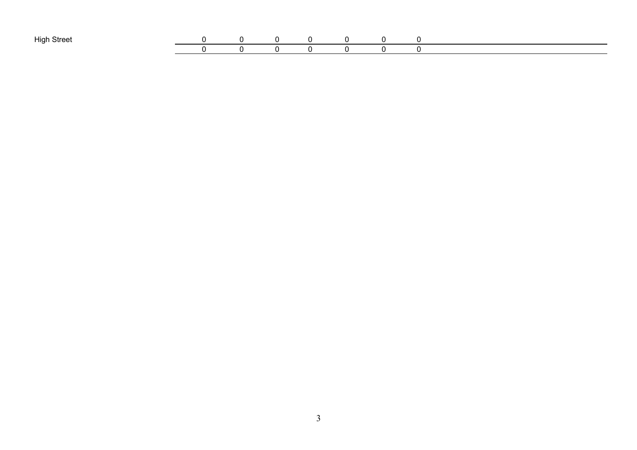| High Stres<br>. . |  |  |  |  |  |
|-------------------|--|--|--|--|--|
|                   |  |  |  |  |  |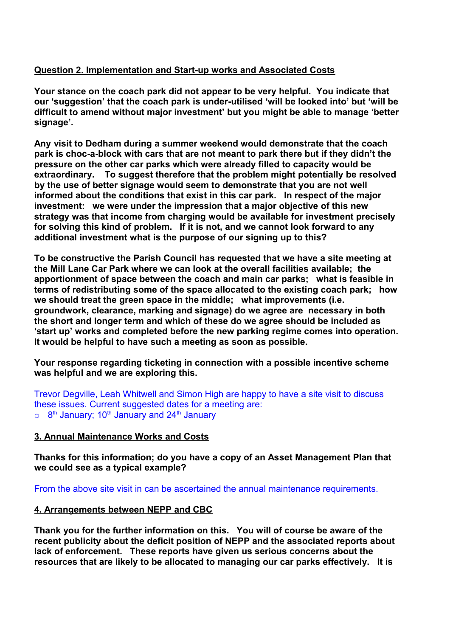# **Question 2. Implementation and Start-up works and Associated Costs**

**Your stance on the coach park did not appear to be very helpful. You indicate that our 'suggestion' that the coach park is under-utilised 'will be looked into' but 'will be difficult to amend without major investment' but you might be able to manage 'better signage'.**

**Any visit to Dedham during a summer weekend would demonstrate that the coach park is choc-a-block with cars that are not meant to park there but if they didn't the pressure on the other car parks which were already filled to capacity would be extraordinary. To suggest therefore that the problem might potentially be resolved by the use of better signage would seem to demonstrate that you are not well informed about the conditions that exist in this car park. In respect of the major investment: we were under the impression that a major objective of this new strategy was that income from charging would be available for investment precisely for solving this kind of problem. If it is not, and we cannot look forward to any additional investment what is the purpose of our signing up to this?**

**To be constructive the Parish Council has requested that we have a site meeting at the Mill Lane Car Park where we can look at the overall facilities available; the apportionment of space between the coach and main car parks; what is feasible in terms of redistributing some of the space allocated to the existing coach park; how we should treat the green space in the middle; what improvements (i.e. groundwork, clearance, marking and signage) do we agree are necessary in both the short and longer term and which of these do we agree should be included as 'start up' works and completed before the new parking regime comes into operation. It would be helpful to have such a meeting as soon as possible.**

**Your response regarding ticketing in connection with a possible incentive scheme was helpful and we are exploring this.**

Trevor Degville, Leah Whitwell and Simon High are happy to have a site visit to discuss these issues. Current suggested dates for a meeting are:  $\circ$   $8^\text{th}$  January; 10 $^\text{th}$  January and 24 $^\text{th}$  January

## **3. Annual Maintenance Works and Costs**

**Thanks for this information; do you have a copy of an Asset Management Plan that we could see as a typical example?**

From the above site visit in can be ascertained the annual maintenance requirements.

## **4. Arrangements between NEPP and CBC**

**Thank you for the further information on this. You will of course be aware of the recent publicity about the deficit position of NEPP and the associated reports about lack of enforcement. These reports have given us serious concerns about the resources that are likely to be allocated to managing our car parks effectively. It is**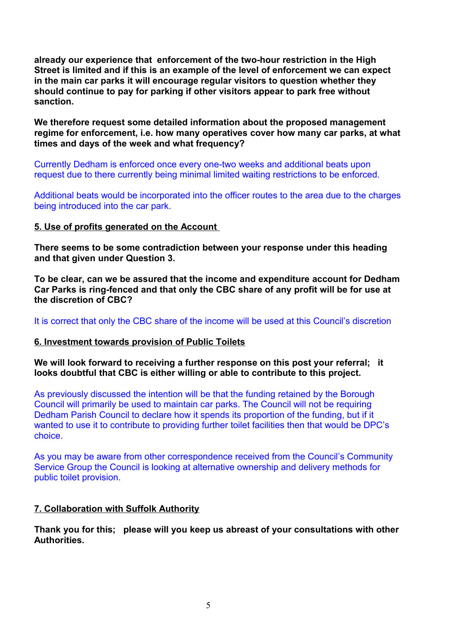**already our experience that enforcement of the two-hour restriction in the High Street is limited and if this is an example of the level of enforcement we can expect in the main car parks it will encourage regular visitors to question whether they should continue to pay for parking if other visitors appear to park free without sanction.**

**We therefore request some detailed information about the proposed management regime for enforcement, i.e. how many operatives cover how many car parks, at what times and days of the week and what frequency?**

Currently Dedham is enforced once every one-two weeks and additional beats upon request due to there currently being minimal limited waiting restrictions to be enforced.

Additional beats would be incorporated into the officer routes to the area due to the charges being introduced into the car park.

#### **5. Use of profits generated on the Account**

**There seems to be some contradiction between your response under this heading and that given under Question 3.** 

**To be clear, can we be assured that the income and expenditure account for Dedham Car Parks is ring-fenced and that only the CBC share of any profit will be for use at the discretion of CBC?**

It is correct that only the CBC share of the income will be used at this Council's discretion

## **6. Investment towards provision of Public Toilets**

**We will look forward to receiving a further response on this post your referral; it looks doubtful that CBC is either willing or able to contribute to this project.** 

As previously discussed the intention will be that the funding retained by the Borough Council will primarily be used to maintain car parks. The Council will not be requiring Dedham Parish Council to declare how it spends its proportion of the funding, but if it wanted to use it to contribute to providing further toilet facilities then that would be DPC's choice.

As you may be aware from other correspondence received from the Council's Community Service Group the Council is looking at alternative ownership and delivery methods for public toilet provision.

## **7. Collaboration with Suffolk Authority**

## **Thank you for this; please will you keep us abreast of your consultations with other Authorities.**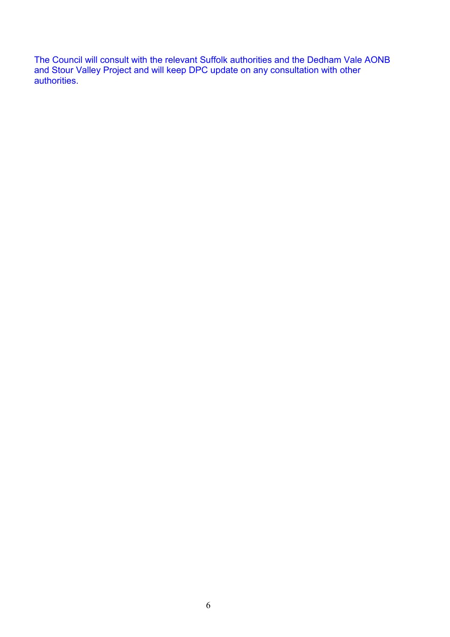The Council will consult with the relevant Suffolk authorities and the Dedham Vale AONB and Stour Valley Project and will keep DPC update on any consultation with other authorities.